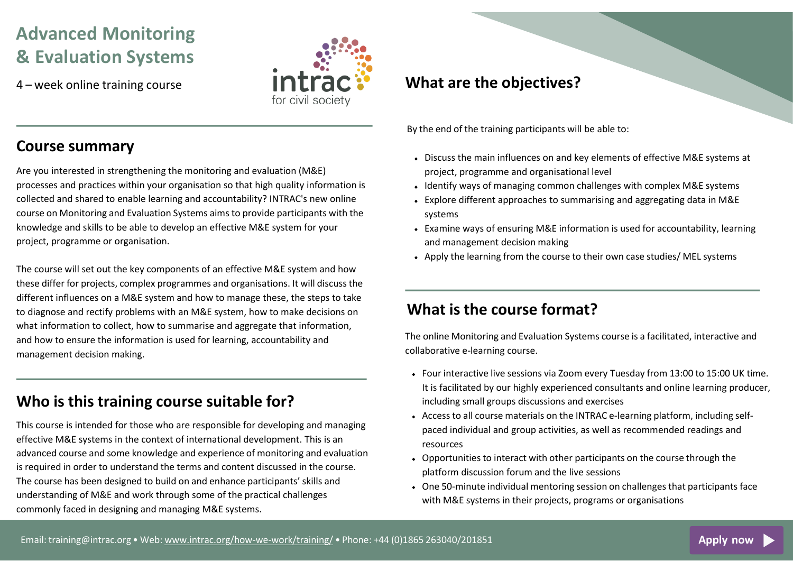# **Advanced Monitoring & Evaluation Systems**

4 – week online training course



#### **Course summary**

Are you interested in strengthening the monitoring and evaluation (M&E) processes and practices within your organisation so that high quality information is collected and shared to enable learning and accountability? INTRAC's new online course on Monitoring and Evaluation Systems aims to provide participants with the knowledge and skills to be able to develop an effective M&E system for your project, programme or organisation.

The course will set out the key components of an effective M&E system and how these differ for projects, complex programmes and organisations. It will discuss the different influences on a M&E system and how to manage these, the steps to take to diagnose and rectify problems with an M&E system, how to make decisions on what information to collect, how to summarise and aggregate that information, and how to ensure the information is used for learning, accountability and management decision making.

# **Who is this training course suitable for?**

This course is intended for those who are responsible for developing and managing effective M&E systems in the context of international development. This is an advanced course and some knowledge and experience of monitoring and evaluation is required in order to understand the terms and content discussed in the course. The course has been designed to build on and enhance participants' skills and understanding of M&E and work through some of the practical challenges commonly faced in designing and managing M&E systems.

# **the objectives?**

By the end of the training participants will be able to:

- Discuss the main influences on and key elements of effective M&E systems at project, programme and organisational level
- Identify ways of managing common challenges with complex M&E systems
- Explore different approaches to summarising and aggregating data in M&E systems
- Examine ways of ensuring M&E information is used for accountability, learning and management decision making
- Apply the learning from the course to their own case studies/ MEL systems

#### **What is the course format?**

The online Monitoring and Evaluation Systems course is a facilitated, interactive and collaborative e-learning course.

- Four interactive live sessions via Zoom every Tuesday from 13:00 to 15:00 UK time. It is facilitated by our highly experienced consultants and online learning producer, including small groups discussions and exercises
- Access to all course materials on the INTRAC e-learning platform, including selfpaced individual and group activities, as well as recommended readings and resources
- Opportunities to interact with other participants on the course through the platform discussion forum and the live sessions
- One 50-minute individual mentoring session on challenges that participants face with M&E systems in their projects, programs or organisations